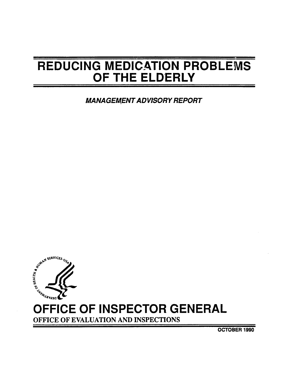# REDUCING MEDICATION PROBLEMS OF THE ELDERLY

**MANAGEMENT ADVISORY REPORT** 



# OFFICE OF INSPECTOR GENERAL

OFFICE OF EVALUATION AND INSPECTIONS

OCTOBER 1990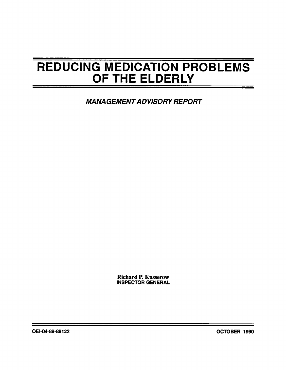# REDUCING MEDICATION PROBLEMS OF THE ELDERLY

**MANAGEMENT ADVISORY REPORT** 

Richard P. Kusserow INSPECTOR GENERAL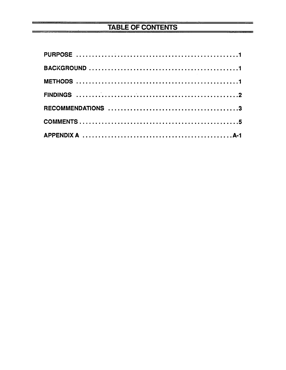# TABLE OF CONTENTS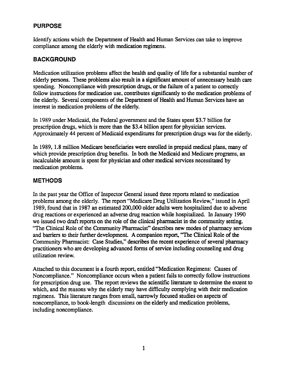#### PURPOSE

Identify actions which the Department of Health and Human Services can take to improve compliance among the elderly with medication regimens.

### BACKGROUND

Medication utilization problems affect the health and quality of life for a substantial number of elderly persons. These problems also result in a significant amount of unnecessary health care spending. Noncompliance with prescription drugs, or the failure of a patient to correctly follow instructions for medication use, contributes significantly to the medication problems of the elderly. Several components of the Department of Health and Human Services have an interest in medication problems of the elderly.

In 1989 under Medicaid, the Federal government and the States spent \$3.7 bilion for prescription drugs, which is more than the \$3.4 billion spent for physician services. Approximately 44 percent of Medicaid expenditures for prescription drugs was for the elderly.

In 1989, 1.8 million Medicare beneficiaries were enrolled in prepaid medical plans, many of which provide prescription drug benefits. In both the Medicaid and Medicare programs, an incalculable amount is spent for physician and other medical services necessitated by medication problems.

#### METHODS

In the past year the Office of Inspector General issued thee reports related to medication problems among the elderly. The report "Medicare Drug Utilization Review," issued in April 1989, found that in 1987 an estimated 200,000 older adults were hospitalized due to adverse drug reactions or experienced an adverse drug reaction while hospitalized. In January 1990 we issued two draft reports on the role of the clinical pharmacist in the community setting. "The Clinical Role of the Community Pharmacist" describes new modes of pharmacy services and barriers to their further development. A companion report, "The Clinical Role of the Community Pharmacist: Case Studies," describes the recent experience of several pharmacy practitioners who are developing advanced forms of service including counseling and drug utilization review.

Attached to this document is a fourth report, entitled "Medication Regimens: Causes of Noncompliance." Noncompliance occurs when a patient fails to correctly follow instructions for prescription drug use. The report reviews the scientific literature to determine the extent to which, and the reasons why the elderly may have difficulty complying with their medication regimens. This literature ranges from small, narrowly focused studies on aspects of noncompliance, to book-length discussions on the elderly and medication problems, including noncompliance.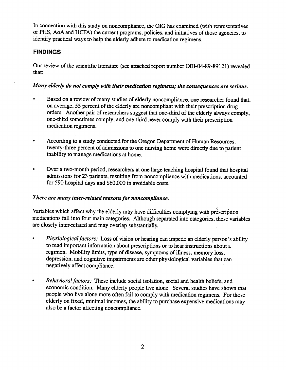In connection with this study on noncompliance, the OIG has examined (with representatives of PHS, AoA and HCFA) the current programs, policies, and initiatives of those agencies, to identify practical ways to help the elderly adhere to medication regimens.

#### **FINDINGS**

Our review of the scientific literature (see attached repon number OEI-04-89-89121) revealed that:

#### Many elderly do not comply with their medication regimens; the consequences are serious.

- Based on a review of many studies of elderly noncompliance, one researcher found that, on average, 55 percent of the elderly are noncompliant with their prescription drug orders. Another pair of researchers suggest that one-third of the elderly always comply, one-third sometimes comply, and one-third never comply with their prescription medication regimens.
- According to a study conducted for the Oregon Department of Human Resources, twenty-three percent of admissions to one nursing home were directly due to patient inabilty to manage medications at home.
- Over a two-month period, researchers at one large teaching hospital found that hospital admissions for 23 patients, resulting from noncompliance with medications, accounted for 590 hospital days and \$60,000 in avoidable costs.

#### There are many inter-related reasons for noncompliance.

Variables which affect why the elderly may have difficulties complying with prescription medications fall into four main categories. Although separated into categories, these variables are closely inter-related and may overlap substantially.

- Physiological factors: Loss of vision or hearing can impede an elderly person's ability to read important information about prescriptions or to hear instructions about a regimen. Mobility limits, type of disease, symptoms of ilness, memory loss, depression, and cognitive impairments are other physiological variables that can negatively affect compliance.
- $\bullet$ Behavioral factors: These include social isolation, social and health beliefs, and economic condition. Many elderly people live alone. Several studies have shown that people who live alone more often fail to comply with medication regimens. For those elderly on fixed, minimal incomes, the abilty to purchase expensive medications may also be a factor affecting noncompliance.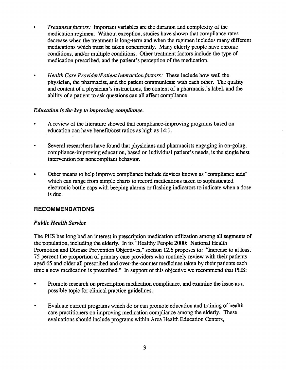- Treatment factors: Important variables are the duration and complexity of the medication regimen. Without exception, studies have shown that compliance rates decrease when the tratment is long-term and when the regimen includes many different medications which must be taken concurrently. Many elderly people have chronic conditions, and/or multiple conditions. Other treatment factors include the type of medication prescribed, and the patient's perception of the medication.
- Health Care Provider/Patient Interaction factors: These include how well the physician, the pharmacist, and the patient communicate with each other. The quality and content of a physician's instructions, the content of a pharmacist's label, and the ability of a patient to ask questions can all affect compliance.

#### Education is the key to improving compliance.

- A review of the literature showed that compliance-improving programs based on education can have benefit/cost ratios as high as 14:1.
- Several researchers have found that physicians and pharmacists engaging in on-going, compliance-improving education, based on individual patient's needs, is the single best intervention for noncompliant behavior.
- Other means to help improve compliance include devices known as "compliance aids which can range from simple charts to record medications taken to sophisticated electronic bottle caps with beeping alarms or flashing indicators to indicate when a dose is due.

#### RECOMMENDATIONS

#### Public Health Service

The PHS has long had an interest in prescription medication utilization among all segments of the population, including the elderly. In its "Healthy People 2000: National Health Promotion and Disease Prevention Objectives," section 12.6 proposes to: "Increase to at least 75 percent the proportion of primary care providers who routinely review with their patients aged 65 and older all prescribed and over-the-counter medicines taken by their patients each time a new medication is prescribed." In support of this objective we recommend that PHS:

- Promote research on prescription medication compliance, and examine the issue as a possible topic for clinical practice guidelines.
- Evaluate current programs which do or can promote education and training of health  $\bullet$ care practitioners on improving medication compliance among the elderly. These evaluations should include programs within Area Health Education Centers,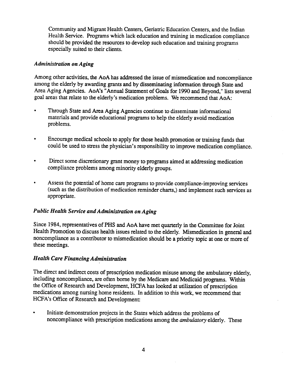Community and Migrant Health Centers, Geriatric Education Centers, and the Indian Health Service. Programs which lack education and training in medication compliance should be provided the resources to develop such education and training programs especially suited to their clients.

#### Administration on Aging

Among other activities, the AoA has addressed the issue of mismedication and noncompliance among the elderly by awarding grants and by disseminating information though State and Area Aging Agencies. AoA's "Annual Statement of Goals for 1990 and Beyond," lists several goal areas that relate to the elderly's medication problems. We recommend that AoA:

- Through State and Area Aging Agencies continue to disseminate informational materials and provide educational programs to help the elderly avoid medication problems.
- $\bullet$ Encourage medcal schools to apply for those health promotion or training funds that could be used to stress the physician's responsibility to improve medication compliance.
- Direct some discretionary grant money to programs aimed at addressing medication  $\bullet$ compliance problems among minority elderly groups.
- Assess the potential of home care programs to provide compliance-improving services (such as the distribution of medication reminder charts,) and implement such services as appropriate.

#### Public Health Service and Administration on Aging

Since 1984, representatives of PHS and AoA have met quarerly in the Committee for Joint Health Promotion to discuss health issues related to the elderly. Mismedication in general and noncompliance as a contributor to mismedication should be a priority topic at one or more of these meetings.

#### Health Care Financing Administration

The direct and indirect costs of prescription medication misuse among the ambulatory elderly, including noncompliance, are often borne by the Medicare and Medicaid programs. Within the Office of Research and Development, HCFA has looked at utilization of prescription medications among nursing home residents. In addition to this work, we recommend that HCFA's Office of Research and Development:

Initiate demonstration projects in the States which address the problems of noncompliance with prescription medications among the *ambulatory* elderly. These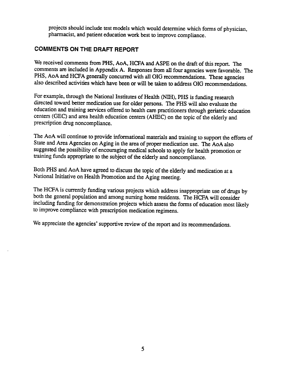projects should include test models which would determine which forms of physician pharacist, and patient education work best to improve compliance.

#### COMMENTS ON THE DRAFT REPORT

We received comments from PHS, AoA, HCFA and ASPE on the draft of this report. The comments are included in Appendix A. Responses from all four agencies were favorable. The PHS, AoA and HCFA generally concurred with all OIG recommendations. These agencies also described activities which have been or will be taken to address OIG recommendations.

For example, through the National Institutes of Health (NIH), PHS is funding research directed toward better medication use for older persons. The PHS will also evaluate the education and training services offered to health care practitioners through geriatric education centers (GEC) and area health education centers (AHEC) on the topic of the elderly and prescription drug noncompliance.

The AoA will continue to provide informational materials and training to support the efforts of State and Area Agencies on Aging in the area of proper medication use. The AoA also suggested the possibility of encouraging medical schools to apply for health promotion or training funds appropriate to the subject of the elderly and noncompliance.

Both PHS and AoA have agreed to discuss the topic of the elderly and medication at a National Initiative on Health Promotion and the Aging meeting.

The HCFA is currently funding various projects which address inappropriate use of drugs by both the general population and among nursing home residents. The HCFA will consider including funding for demonstration projects which assess the forms of education most likely to improve compliance with prescription medication regimens.

We appreciate the agencies' supportive review of the report and its recommendations.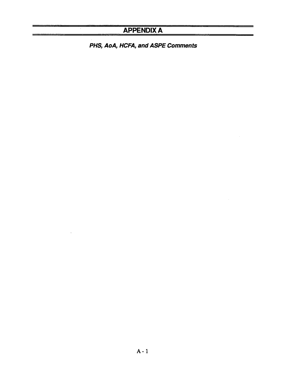### APPENDIX A

PHS, AoA, HCFA, and ASPE Comments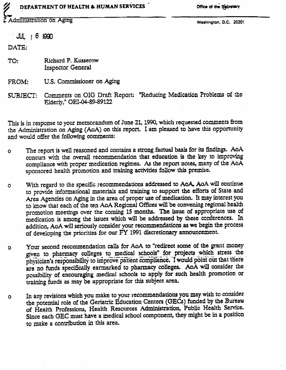#### DEPARTMENT OF HEALTH & HUMAN SERVICES

Office of the Secretary

Administration on Aging

Washington, D.C. 20201

 $JUL$   $B$  1990

DATE:

Richard P. Kusserow TO: **Inspector General** 

U.S. Commissioner on Aging FROM:

Comments on OIG Draft Report: "Reducing Medication Problems of the SUBJECT: Elderly," OEI-04-89-89122

This is in response to your memorandum of June 21, 1990, which requested comments from the Administration on Aging (AoA) on this report. I am pleased to have this opportunity and would offer the following comments:

- The report is well reasoned and contains a strong factual basis for its findings. AoA  $\bullet$ concurs with the overall recommendation that education is the key to improving compliance with proper medication regimes. As the report notes, many of the AoA sponsored health promotion and training activities follow this premise.
- With regard to the specific recommendations addressed to AoA, AoA will continue Ō to provide informational materials and training to support the efforts of State and Area Agencies on Aging in the area of proper use of medication. It may interest you to know that each of the ten AoA Regional Offices will be convening regional health promotion meetings over the coming 15 months. The issue of appropriate use of medication is among the issues which will be addressed by these conferences. In addition, AoA will seriously consider your recommendations as we begin the process of developing the priorities for our FY 1991 discretionary announcement.
- Your second recommendation calls for AoA to "redirect some of the grant money O given to pharmacy colleges to medical schools" for projects which stress the physician's responsibility to improve patient compliance. I would point out that there are no funds specifically earmarked to pharmacy colleges. AoA will consider the possibility of encouraging medical schools to apply for such health promotion or training funds as may be appropriate for this subject area.
- In any revisions which you make to your recommendations you may wish to consider  $\Omega$ the potential role of the Geriatric Education Centers (GECs) funded by the Bureau of Health Professions, Health Resources Administration, Public Health Service. Since each GEC must have a medical school component, they might be in a position to make a contribution in this area.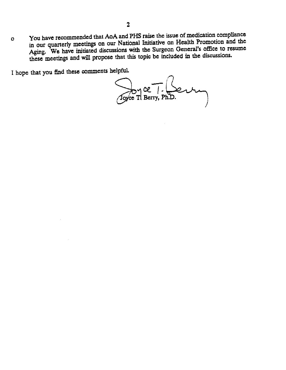You have recommended that AoA and PHS raise the issue of medication compliance  $\mathbf{o}$ in our quarterly meetings on our National Intiative on Health Promotion and the Aging. We have initiated discussions with the Surgeon General's office to resume these meetings and will propose that this topic be included in the discussions.

I hope that you find these comments helpful.

Byce T. Bentum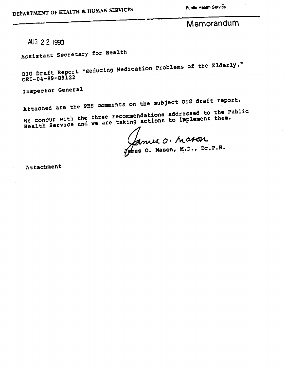Public Health Service

## Memorandum

AUG 2 2 1990

Assistant Secretary for Health

OIG Draft Report "Reducing Medication Problems of the Elderly, OEI-04-B9-B9l22

Inspector General

Attached are the PHS comments on the subject OIG draft report. We concur with the three recommendations addressed to the Public Health Service and we are taking actions to implement them.

Mason, M.D., Dr.

Attachment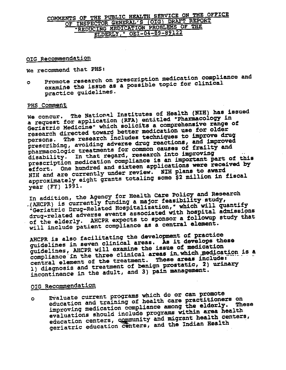### COMMENTS OF THE PUBLIC HEALTH SERVICE ON THE OFFICE OF INSPECTOR GENERAL'S (OIG) DRAFT REPORT REDUCING MEDICATION PROBLEMS OF THE ELDERLY, " OEI-04-89-89122

#### OIG Recommendation

We recommend that PHS:

Promote research on prescription medication compliance and examine the issue as a possible topic for clinical  $\bullet$ practice guidelines.

#### PHS Comment

We concur. The National Institutes of Health (NIH) has issued a request for application (RFA) entitled "Pharmacology in Geriatric Medicine" which solicits a comprehensive range of research directed toward better medication use for older persons. The research includes techniques to improve drug prescribing, avoiding adverse drug reactions, and improved pharmacologic treatments for common causes of frailty and disability. In that regard, research into improving prescription medication compliance is an important part of this effort. One hundred and sixteen applications were received by NIH and are currently under review. NIH plans to award approximately eight grants totaling some \$2 million in fiscal year (FY) 1991.

In addition, the Agency for Health Care Policy and Research .(AHCPR) is currently funding a major feasibility study, "Geriatric Drug-Related Hospitalization," which will quantify drug-related adverse events associated with hospital admissions of the elderly. AHCPR expects to sponsor a followup study that will include patient compliance as a central element.

AHCPR is also facilitating the development of practice guidelines in seven clinical areas. As it develops these guidelines, AHCPR will examine the issue of medication compliance in the three clinical areas in which medication is a central element of the treatment. These areas include: 1) diagnosis and treatment of benign prostatic, 2) urinary incontinence in the adult, and 3) pain management.

#### OIG Recommendation

Evaluate current programs which do or can promote education and training of health care practitioners on  $\bullet$ improving medication compliance among the elderly. These evaluations should include programs within area health education centers, community and migrant health centers, geriatric education centers, and the Indian Health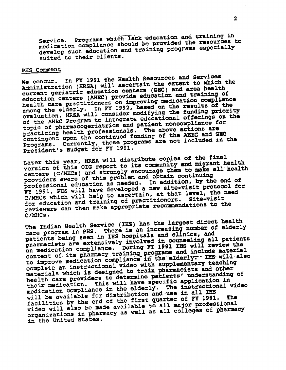Programs which lack education and training in medication compliance should be provided the resources to Service. develop such education and training programs especially suited to their clients.

#### PHS Comment

We concur. In FY 1991 the Health Resources and Services Administration (HRSA) will ascertain the extent to which the current geriatric education centers (GEC) and area health education centers (AHEC) provide education and training of health care practitioners on improving medication compliance among the elderly. In FY 1992, based on the results of the evaluation, HRSA will consider modifying the funding priority of the AHEC Program to integrate educational offerings on the topic of pharmacogeriatrics and patient noncompliance for practicing health professionals. The above actions are contingent upon the continued funding of the AHEC and GEC Programs. Currently, these programs are not included in the President's Budget for FY 1991.

Later this year, HRSA will distribute copies of the final version of this OIG report to its community and migrant health centers (C/MHCs) and strongly encourage them to make all health providers aware of this problem and obtain continuing professional education as needed. In addition, by the end of PY 1991, PHS will have developed a new site-visit protocol for C/MHCs which will help to ascertain, at that level, the need for education and training of practitioners. Site-visit reviewers can then make appropriate recommendations to the C/MHCs.

The Indian Health Service (IHS) has the largest direct health care program in PHS. There is an increasing number of elderly patients being seen in IHS hospitals and clinics, and pharmacists are extensively involved in counseling all patients on medication compliance. During FY 1991 IHS will review the content of its pharmacy training programs and include material<br>to improve medication compliance in the elderly. IHS will also complete an instructional video with supplementary teaching materials which is designed to train pharmacists and other health care providers to determine patients' understanding of their medication. This will have specific application in medication compliance in the elderly. The instructional video will be available for distribution and use in all IHS facilities by the end of the first quarter of FY 1991. **The** video will also be made available to all major professional organizations in pharmacy as well as all colleges of pharmacy in the United States.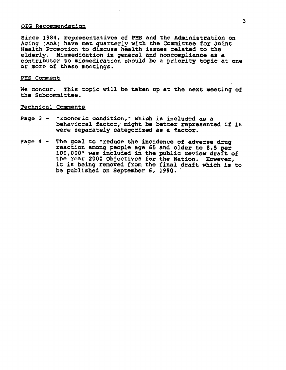#### OIG Recommendation

Since 1984, representatives of PHS and the Administration on Aging (AoA) have met quarterly with the Committee for Joint Health Promotion to discuss health issues related to the health Promotion to discuss health issues related to the<br>elderly. Mismedication in general and noncompliance as a contributor to mismedication should be a priority topic at one or more of these meetings.

#### PHS Comment

We concur. This topic will be taken up at the next meeting of the Subcommttee.

#### Technical Comments

- Page 3 "Economic condition," which is included as a behavioral factor, might be better represented if it were separately categorized as a factor.
- ?age 4 The goal to " reduce the incidence of adverse drug reaction among people age 65 and older to 8.5 per 100,000" was included in the public review draft of the Year 2000 Objectives for the Nation. However, it is being removed from the final draft which is to be published on September 6, 1990.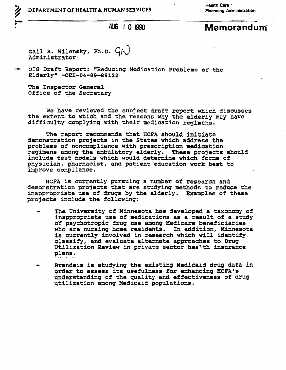Health Care -

Gail R. Wilensky, Ph.D.  $G\Lambda$ Administrator .

ect OIG Draft Report: "Reducing Medication Problems of the Elderly" -OEI-04-89-89122

The Inspector General. Office of the Secretary

We have reviewed the subject draft report which discusses the extent to which and the reasons why the elderly may have difficulty complying with their medication reqimens.

The report recommends that HCFA should initiate demonstration proj ects in the States which address the problems of noncompliance with prescription medication regimens among the ambulatory elderly. These projects should include test models which would determine which forms of include test models which would determine which forms of physician, pharmacist, and patient education work best to physician, pharmacist, and pat<br>improve complia<mark>nce.</mark>

HCFA is currently pursuing a number ot research and demonstration projects that are studying methods to reduce the inappropriate use of drugs by the elderly. Examples of these projects include the followinq:

- The University of Minnesota has developed a taxonomy of inappropriate use of medications as a result of a study f psychotropic drug use amonq Medicare beneficiaries who are nursinq home residents. In addition, Minnesota is currently involved in research which will identifyclassify, and evaluate alternate approaches to Drug utilization Review in private sector hea'th insurance plans.
- Brandeis is studying the existing Medicaid druq data in order to assess its usefulness for enhancing HCFA's understanding of the quality and effectiveness of druq utilization among Medicaid populations.

AUG 10 1990 Memorandum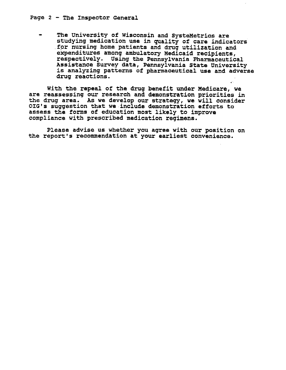The University of Wisconsin and SysteMetrics are studying medication use in quality of care indicators for nursing home patients and drug utilization and expenditures among ambulatory Medicaid recipients, respectively. Using the Pennsylvania Pharmaceutical Assistance Survey data, Pennsylvania state University€ is analyzing patterns of pharmaceutical use and adverse§<br>drug reactions.

With the repeal of the drug benefit under Medicare, we are reassessing our research and demonstration priorities in the drug area. As we develop our strategy, we will consider OIG's suggestion that we include demonstration efforts to assess the forms of education most likely to improve compliance with prescribed medication regimens.

Please advise us whether you agree with our position on the report's recommendation at your earliest convenience.